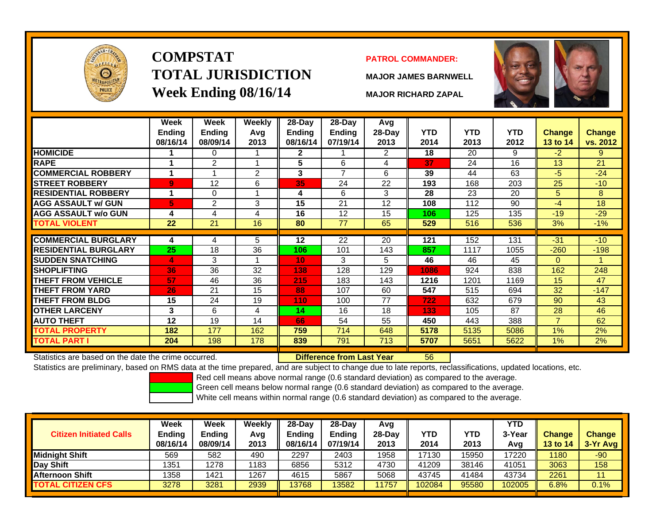

# **COMPSTATTOTAL JURISDICTIONWeek Ending 08/16/14 MAJOR RICHARD ZAPAL**

## **PATROL COMMANDER:**

**MAJOR JAMES BARNWELL**

56



|                             | Week<br>Ending<br>08/16/14 | Week<br>Ending<br>08/09/14 | <b>Weekly</b><br>Avg<br>2013 | 28-Day<br>Ending<br>08/16/14 | $28-Day$<br>Ending<br>07/19/14 | Avg<br>28-Day<br>2013 | <b>YTD</b><br>2014 | <b>YTD</b><br>2013 | <b>YTD</b><br>2012 | <b>Change</b><br>13 to 14 | <b>Change</b><br>vs. 2012 |
|-----------------------------|----------------------------|----------------------------|------------------------------|------------------------------|--------------------------------|-----------------------|--------------------|--------------------|--------------------|---------------------------|---------------------------|
| <b>HOMICIDE</b>             |                            | 0                          |                              | $\mathbf{2}$                 |                                | 2                     | 18                 | 20                 | 9                  | $-2$                      | 9                         |
| <b>RAPE</b>                 | 4                          | $\overline{2}$             |                              | 5                            | 6                              | 4                     | 37                 | 24                 | 16                 | 13                        | 21                        |
| <b>COMMERCIAL ROBBERY</b>   | 1                          |                            | $\overline{2}$               | $\mathbf{3}$                 | 7                              | 6                     | 39                 | 44                 | 63                 | -5                        | $-24$                     |
| <b>STREET ROBBERY</b>       | 9                          | 12                         | 6                            | 35                           | 24                             | 22                    | 193                | 168                | 203                | 25                        | $-10$                     |
| <b>RESIDENTIAL ROBBERY</b>  | 1                          | 0                          |                              | 4                            | 6                              | 3                     | 28                 | 23                 | 20                 | 5                         | 8                         |
| <b>AGG ASSAULT w/ GUN</b>   | 5                          | 2                          | 3                            | 15                           | 21                             | 12                    | 108                | 112                | 90                 | $-4$                      | 18                        |
| <b>AGG ASSAULT w/o GUN</b>  | 4                          | 4                          | 4                            | 16                           | 12                             | 15                    | 106                | 125                | 135                | $-19$                     | $-29$                     |
| TOTAL VIOLENT               | 22                         | 21                         | 16                           | 80                           | 77                             | 65                    | 529                | 516                | 536                | 3%                        | $-1%$                     |
|                             |                            |                            |                              |                              |                                |                       |                    |                    |                    |                           |                           |
| <b>COMMERCIAL BURGLARY</b>  | 4                          | 4                          | 5                            | 12                           | 22                             | 20                    | 121                | 152                | 131                | $-31$                     | $-10$                     |
| <b>RESIDENTIAL BURGLARY</b> | 25                         | 18                         | 36                           | 106                          | 101                            | 143                   | 857                | 1117               | 1055               | $-260$                    | $-198$                    |
| <b>SUDDEN SNATCHING</b>     | 4                          | 3                          |                              | 10                           | 3                              | 5                     | 46                 | 46                 | 45                 | $\Omega$                  |                           |
| <b>SHOPLIFTING</b>          | 36                         | 36                         | 32                           | 138                          | 128                            | 129                   | 1086               | 924                | 838                | 162                       | 248                       |
| <b>THEFT FROM VEHICLE</b>   | 57                         | 46                         | 36                           | 215                          | 183                            | 143                   | 1216               | 1201               | 1169               | 15                        | 47                        |
| <b>THEFT FROM YARD</b>      | 26                         | 21                         | 15                           | 88                           | 107                            | 60                    | 547                | 515                | 694                | 32                        | $-147$                    |
| <b>THEFT FROM BLDG</b>      | 15                         | 24                         | 19                           | 110                          | 100                            | 77                    | 722                | 632                | 679                | 90                        | 43                        |
| <b>OTHER LARCENY</b>        | 3                          | 6                          | 4                            | 14                           | 16                             | 18                    | 133                | 105                | 87                 | 28                        | 46                        |
| <b>AUTO THEFT</b>           | 12                         | 19                         | 14                           | 66                           | 54                             | 55                    | 450                | 443                | 388                | $\overline{7}$            | 62                        |
| <b>TOTAL PROPERTY</b>       | 182                        | 177                        | 162                          | 759                          | 714                            | 648                   | 5178               | 5135               | 5086               | 1%                        | 2%                        |
| <b>TOTAL PART I</b>         | 204                        | 198                        | 178                          | 839                          | 791                            | 713                   | 5707               | 5651               | 5622               | $1\%$                     | 2%                        |

Statistics are based on the date the crime occurred. **Difference from Last Year** 

Statistics are preliminary, based on RMS data at the time prepared, and are subject to change due to late reports, reclassifications, updated locations, etc.

Red cell means above normal range (0.6 standard deviation) as compared to the average.

Green cell means below normal range (0.6 standard deviation) as compared to the average.

| <b>Citizen Initiated Calls</b> | Week<br><b>Ending</b><br>08/16/14 | Week<br><b>Ending</b><br>08/09/14 | Weekly<br>Avg<br>2013 | $28$ -Dav<br><b>Ending</b><br>08/16/14 | $28-Day$<br><b>Ending</b><br>07/19/14 | Avg<br>28-Dav<br>2013 | YTD<br>2014 | YTD<br>2013 | <b>YTD</b><br>3-Year<br>Avg | <b>Change</b><br><b>13 to 14</b> | <b>Change</b><br>3-Yr Avg |
|--------------------------------|-----------------------------------|-----------------------------------|-----------------------|----------------------------------------|---------------------------------------|-----------------------|-------------|-------------|-----------------------------|----------------------------------|---------------------------|
| <b>Midnight Shift</b>          | 569                               | 582                               | 490                   | 2297                                   | 2403                                  | 1958                  | 17130       | 15950       | 17220                       | 1180                             | $-90$                     |
| Day Shift                      | 1351                              | 1278                              | 1183                  | 6856                                   | 5312                                  | 4730                  | 41209       | 38146       | 41051                       | 3063                             | 158                       |
| <b>Afternoon Shift</b>         | 1358                              | 1421                              | 1267                  | 4615                                   | 5867                                  | 5068                  | 43745       | 41484       | 43734                       | 2261                             | 11                        |
| <b>TOTAL CITIZEN CFS</b>       | 3278                              | 3281                              | 2939                  | 3768                                   | 13582                                 | 1757                  | 102084      | 95580       | 102005                      | 6.8%                             | 0.1%                      |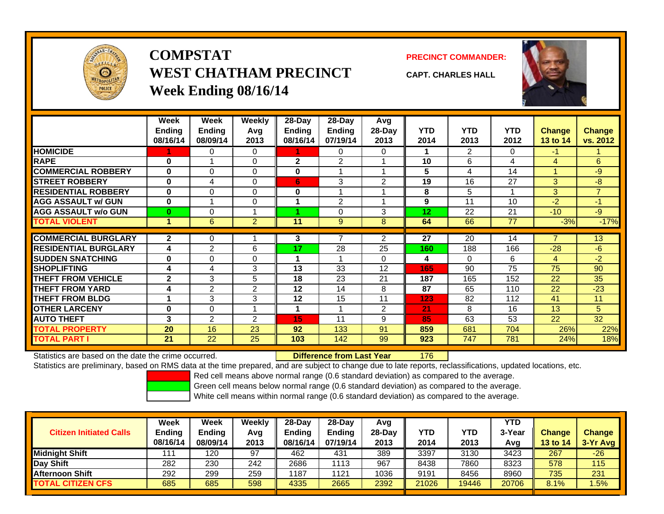

# **COMPSTATWEST CHATHAM PRECINCTWeek Ending 08/16/14**

**PRECINCT COMMANDER:**



**CAPT. CHARLES HALL**

|                             | Week<br><b>Endina</b><br>08/16/14 | Week<br><b>Ending</b><br>08/09/14 | <b>Weekly</b><br>Avq<br>2013 | $28-Day$<br>Ending<br>08/16/14 | 28-Day<br><b>Ending</b><br>07/19/14 | Avg<br>28-Day<br>2013 | <b>YTD</b><br>2014 | <b>YTD</b><br>2013 | <b>YTD</b><br>2012 | <b>Change</b><br>13 to 14 | Change<br>vs. 2012 |
|-----------------------------|-----------------------------------|-----------------------------------|------------------------------|--------------------------------|-------------------------------------|-----------------------|--------------------|--------------------|--------------------|---------------------------|--------------------|
| <b>HOMICIDE</b>             |                                   | 0                                 | 0                            |                                | 0                                   | 0                     |                    | 2                  | 0                  | $-1$                      |                    |
| <b>RAPE</b>                 | $\bf{0}$                          |                                   | 0                            | $\mathbf{2}$                   | 2                                   |                       | 10                 | 6                  | 4                  | 4                         | 6                  |
| <b>COMMERCIAL ROBBERY</b>   | $\bf{0}$                          | $\Omega$                          | $\Omega$                     | $\bf{0}$                       |                                     |                       | 5                  | 4                  | 14                 | 1                         | $-9$               |
| <b>STREET ROBBERY</b>       | $\bf{0}$                          | 4                                 | 0                            | 6                              | 3                                   | 2                     | 19                 | 16                 | 27                 | 3                         | $-8$               |
| <b>RESIDENTIAL ROBBERY</b>  | $\bf{0}$                          | $\Omega$                          | 0                            | $\bf{0}$                       |                                     |                       | 8                  | 5                  |                    | 3                         | $\overline{7}$     |
| <b>AGG ASSAULT w/ GUN</b>   | $\bf{0}$                          |                                   | 0                            |                                | 2                                   |                       | 9                  | 11                 | 10                 | $-2$                      | $-1$               |
| <b>AGG ASSAULT w/o GUN</b>  | 0                                 | 0                                 |                              |                                | $\Omega$                            | 3                     | 12                 | 22                 | 21                 | $-10$                     | $-9$               |
| <b>TOTAL VIOLENT</b>        | 1                                 | 6                                 | $\overline{2}$               | 11                             | 9                                   | 8                     | 64                 | 66                 | 77                 | $-3%$                     | $-17%$             |
|                             |                                   |                                   |                              |                                |                                     |                       |                    |                    |                    |                           |                    |
| <b>COMMERCIAL BURGLARY</b>  | 2                                 | $\Omega$                          |                              | 3                              |                                     | 2                     | 27                 | 20                 | 14                 | 7                         | 13                 |
| <b>RESIDENTIAL BURGLARY</b> | 4                                 | $\overline{2}$                    | 6                            | 17                             | 28                                  | 25                    | 160                | 188                | 166                | $-28$                     | $-6$               |
| <b>SUDDEN SNATCHING</b>     | $\bf{0}$                          | 0                                 | 0                            |                                |                                     | $\Omega$              | 4                  | 0                  | 6                  | 4                         | $-2$               |
| <b>SHOPLIFTING</b>          | 4                                 | 4                                 | 3                            | 13                             | 33                                  | 12                    | 165                | 90                 | 75                 | 75                        | 90                 |
| <b>THEFT FROM VEHICLE</b>   | $\mathbf{2}$                      | 3                                 | 5                            | 18                             | 23                                  | 21                    | 187                | 165                | 152                | 22                        | 35                 |
| <b>THEFT FROM YARD</b>      | 4                                 | $\overline{2}$                    | 2                            | 12                             | 14                                  | 8                     | 87                 | 65                 | 110                | 22                        | $-23$              |
| <b>THEFT FROM BLDG</b>      |                                   | 3                                 | 3                            | 12                             | 15                                  | 11                    | 123                | 82                 | 112                | 41                        | 11                 |
| <b>OTHER LARCENY</b>        | $\bf{0}$                          | 0                                 |                              |                                |                                     | 2                     | 21                 | 8                  | 16                 | 13                        | 5                  |
| <b>AUTO THEFT</b>           | 3                                 | 2                                 | 2                            | 15                             | 11                                  | 9                     | 85                 | 63                 | 53                 | 22                        | 32                 |
| <b>TOTAL PROPERTY</b>       | 20                                | 16                                | 23                           | 92                             | 133                                 | 91                    | 859                | 681                | 704                | 26%                       | 22%                |
| TOTAL PART I                | 21                                | 22                                | 25                           | 103                            | 142                                 | 99                    | 923                | 747                | 781                | 24%                       | 18%                |

Statistics are based on the date the crime occurred. **Difference from Last Year** 

176

Statistics are preliminary, based on RMS data at the time prepared, and are subject to change due to late reports, reclassifications, updated locations, etc.

Red cell means above normal range (0.6 standard deviation) as compared to the average.

Green cell means below normal range (0.6 standard deviation) as compared to the average.

| <b>Citizen Initiated Calls</b> | Week<br><b>Ending</b><br>08/16/14 | Week<br><b>Ending</b><br>08/09/14 | Weekly<br>Avg<br>2013 | $28-Day$<br><b>Ending</b><br>08/16/14 | 28-Dav<br><b>Ending</b><br>07/19/14 | Avg<br>28-Day<br>2013 | YTD<br>2014 | YTD<br>2013 | YTD<br>3-Year<br>Avg | <b>Change</b><br>13 to 14 | <b>Change</b><br>3-Yr Avg |
|--------------------------------|-----------------------------------|-----------------------------------|-----------------------|---------------------------------------|-------------------------------------|-----------------------|-------------|-------------|----------------------|---------------------------|---------------------------|
| <b>Midniaht Shift</b>          | 111                               | 120                               | 97                    | 462                                   | 431                                 | 389                   | 3397        | 3130        | 3423                 | 267                       | $-26$                     |
| Day Shift                      | 282                               | 230                               | 242                   | 2686                                  | 113                                 | 967                   | 8438        | 7860        | 8323                 | 578                       | 115                       |
| <b>Afternoon Shift</b>         | 292                               | 299                               | 259                   | 1187                                  | 1121                                | 1036                  | 9191        | 8456        | 8960                 | 735                       | 231                       |
| <b>TOTAL CITIZEN CFS</b>       | 685                               | 685                               | 598                   | 4335                                  | 2665                                | 2392                  | 21026       | 19446       | 20706                | 8.1%                      | .5%                       |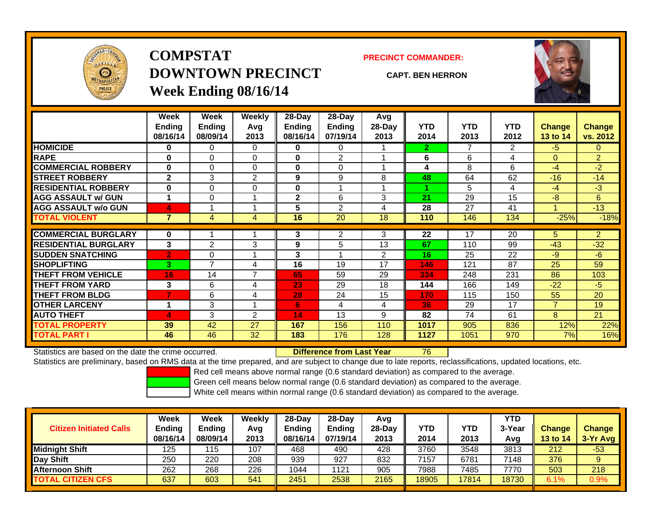

# **COMPSTATDOWNTOWN PRECINCTWeek Ending 08/16/14**

**PRECINCT COMMANDER:**

**CAPT. BEN HERRON**



|                             | Week           | Week           | <b>Weekly</b>  | 28-Day        | 28-Day         | Avg    |            |                |            |                 |                |
|-----------------------------|----------------|----------------|----------------|---------------|----------------|--------|------------|----------------|------------|-----------------|----------------|
|                             | <b>Ending</b>  | <b>Ending</b>  | Avg            | <b>Ending</b> | <b>Ending</b>  | 28-Day | <b>YTD</b> | <b>YTD</b>     | <b>YTD</b> | <b>Change</b>   | Change         |
|                             | 08/16/14       | 08/09/14       | 2013           | 08/16/14      | 07/19/14       | 2013   | 2014       | 2013           | 2012       | <b>13 to 14</b> | vs. 2012       |
| <b>HOMICIDE</b>             | 0              | 0              | 0              | $\bf{0}$      | 0              |        | 2.         | $\overline{7}$ | 2          | $-5$            | 0              |
| <b>RAPE</b>                 | $\bf{0}$       | 0              | 0              | $\bf{0}$      | $\overline{2}$ |        | 6          | 6              | 4          | $\Omega$        | $\overline{2}$ |
| <b>COMMERCIAL ROBBERY</b>   | $\bf{0}$       | 0              | 0              | $\bf{0}$      | 0              |        | 4          | 8              | 6          | $-4$            | $-2$           |
| <b>STREET ROBBERY</b>       | $\mathbf{2}$   | 3              | $\overline{2}$ | 9             | 9              | 8      | 48         | 64             | 62         | $-16$           | $-14$          |
| <b>RESIDENTIAL ROBBERY</b>  | $\bf{0}$       | 0              | $\Omega$       | $\bf{0}$      |                |        |            | 5              | 4          | $-4$            | $-3$           |
| <b>AGG ASSAULT w/ GUN</b>   |                | $\Omega$       |                | $\mathbf{2}$  | 6              | 3      | 21         | 29             | 15         | -8              | 6              |
| <b>AGG ASSAULT w/o GUN</b>  | 4              |                |                | 5             | $\overline{2}$ | 4      | 28         | 27             | 41         |                 | $-13$          |
| <b>TOTAL VIOLENT</b>        | $\overline{7}$ | 4              | 4              | 16            | 20             | 18     | 110        | 146            | 134        | $-25%$          | $-18%$         |
| <b>COMMERCIAL BURGLARY</b>  |                |                |                | 3             | $\overline{2}$ | 3      | 22         | 17             | 20         |                 | $\overline{2}$ |
|                             | 0              |                |                |               |                |        |            |                |            | 5.              |                |
| <b>RESIDENTIAL BURGLARY</b> | 3              | 2              | 3              | 9             | 5              | 13     | 67         | 110            | 99         | $-43$           | $-32$          |
| <b>SUDDEN SNATCHING</b>     | $\overline{2}$ | 0              | $\overline{A}$ | 3             |                | 2      | 16         | 25             | 22         | $-9$            | $-6$           |
| <b>SHOPLIFTING</b>          | 3              | $\overline{ }$ | 4              | 16            | 19             | 17     | 146        | 121            | 87         | 25              | 59             |
| <b>THEFT FROM VEHICLE</b>   | 16             | 14             | $\overline{ }$ | 65            | 59             | 29     | 334        | 248            | 231        | 86              | 103            |
| <b>THEFT FROM YARD</b>      | 3              | 6              | 4              | 23            | 29             | 18     | 144        | 166            | 149        | $-22$           | $-5$           |
| <b>THEFT FROM BLDG</b>      | 7              | 6              | 4              | 28            | 24             | 15     | 170        | 115            | 150        | 55              | 20             |
| <b>OTHER LARCENY</b>        |                | 3              |                | 6             | 4              | 4      | 36         | 29             | 17         | $\overline{7}$  | 19             |
| <b>AUTO THEFT</b>           | 4              | 3              | 2              | 14            | 13             | 9      | 82         | 74             | 61         | 8               | 21             |
| <b>TOTAL PROPERTY</b>       | 39             | 42             | 27             | 167           | 156            | 110    | 1017       | 905            | 836        | 12%             | 22%            |
| <b>TOTAL PART I</b>         | 46             | 46             | 32             | 183           | 176            | 128    | 1127       | 1051           | 970        | 7%              | 16%            |

Statistics are based on the date the crime occurred. **Difference from Last Year** 

Statistics are preliminary, based on RMS data at the time prepared, and are subject to change due to late reports, reclassifications, updated locations, etc.

76

Red cell means above normal range (0.6 standard deviation) as compared to the average.

Green cell means below normal range (0.6 standard deviation) as compared to the average.

| <b>Citizen Initiated Calls</b> | <b>Week</b><br><b>Ending</b><br>08/16/14 | <b>Week</b><br><b>Ending</b><br>08/09/14 | Weekly<br>Avg<br>2013 | $28-Day$<br><b>Ending</b><br>08/16/14 | 28-Dav<br><b>Ending</b><br>07/19/14 | Avg<br>28-Dav<br>2013 | YTD<br>2014 | YTD<br>2013 | YTD<br>3-Year<br>Avg | <b>Change</b><br>13 to 14 | <b>Change</b><br>3-Yr Avg |
|--------------------------------|------------------------------------------|------------------------------------------|-----------------------|---------------------------------------|-------------------------------------|-----------------------|-------------|-------------|----------------------|---------------------------|---------------------------|
| <b>Midnight Shift</b>          | 125                                      | 115                                      | 107                   | 468                                   | 490                                 | 428                   | 3760        | 3548        | 3813                 | 212                       | $-53$                     |
| Day Shift                      | 250                                      | 220                                      | 208                   | 939                                   | 927                                 | 832                   | 7157        | 6781        | 7148                 | 376                       | 9                         |
| <b>Afternoon Shift</b>         | 262                                      | 268                                      | 226                   | 1044                                  | 1121                                | 905                   | 7988        | 7485        | 7770                 | 503                       | 218                       |
| <b>TOTAL CITIZEN CFS</b>       | 637                                      | 603                                      | 541                   | 2451                                  | 2538                                | 2165                  | 18905       | 17814       | 18730                | 6.1%                      | 0.9%                      |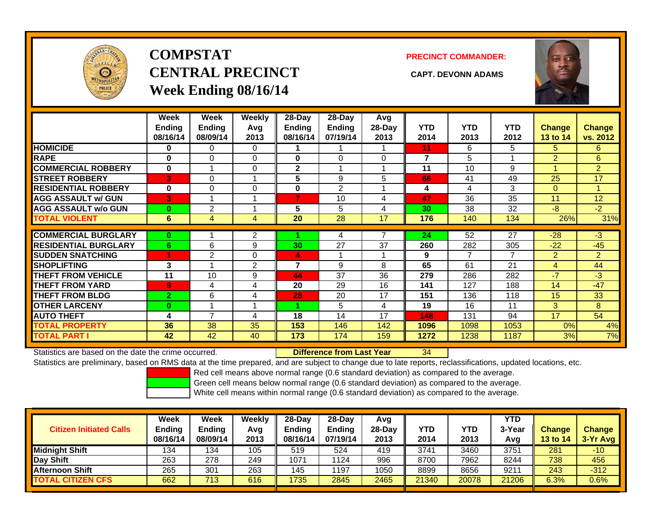

# **COMPSTATCENTRAL PRECINCT CAPT. DEVONN ADAMSWeek Ending 08/16/14**

**PRECINCT COMMANDER:**



|                             | Week           | Week           | <b>Weekly</b>  | $28$ -Day      | 28-Day         | Avg      |            |            |            |                 |                |
|-----------------------------|----------------|----------------|----------------|----------------|----------------|----------|------------|------------|------------|-----------------|----------------|
|                             | <b>Ending</b>  | <b>Ending</b>  | Avq            | Ending         | <b>Ending</b>  | 28-Day   | <b>YTD</b> | <b>YTD</b> | <b>YTD</b> | <b>Change</b>   | <b>Change</b>  |
|                             | 08/16/14       | 08/09/14       | 2013           | 08/16/14       | 07/19/14       | 2013     | 2014       | 2013       | 2012       | <b>13 to 14</b> | vs. 2012       |
| <b>HOMICIDE</b>             | 0              | 0              | 0              |                |                |          | 11         | 6          | 5          | 5               | 6              |
| <b>RAPE</b>                 | 0              | 0              | $\Omega$       | $\bf{0}$       | $\Omega$       | $\Omega$ | 7          | 5          |            | $\overline{2}$  | 6              |
| <b>COMMERCIAL ROBBERY</b>   | $\bf{0}$       |                | 0              | $\mathbf{2}$   |                |          | 11         | 10         | 9          |                 | $\overline{2}$ |
| <b>STREET ROBBERY</b>       | 3              | $\Omega$       |                | 5              | 9              | 5        | 66         | 41         | 49         | 25              | 17             |
| <b>RESIDENTIAL ROBBERY</b>  | $\bf{0}$       | 0              | 0              | 0              | $\overline{2}$ |          | 4          | 4          | 3          | $\mathbf{0}$    | 4              |
| <b>AGG ASSAULT w/ GUN</b>   | 3              |                |                | 7              | 10             | 4        | 47         | 36         | 35         | 11              | 12             |
| <b>AGG ASSAULT w/o GUN</b>  | $\bf{0}$       | $\overline{2}$ |                | 5              | 5              | 4        | 30         | 38         | 32         | $-8$            | $-2$           |
| <b>TOTAL VIOLENT</b>        | 6              | 4              | 4              | 20             | 28             | 17       | 176        | 140        | 134        | 26%             | 31%            |
|                             |                |                |                |                |                |          |            |            |            |                 |                |
| <b>COMMERCIAL BURGLARY</b>  | $\bf{0}$       |                | 2              |                | 4              |          | 24         | 52         | 27         | $-28$           | $-3$           |
| <b>RESIDENTIAL BURGLARY</b> | 6              | 6              | 9              | 30             | 27             | 37       | 260        | 282        | 305        | $-22$           | $-45$          |
| <b>SUDDEN SNATCHING</b>     |                | 2              | 0              | 4              |                |          | 9          | 7          | 7          | 2               | $\overline{2}$ |
| <b>SHOPLIFTING</b>          | 3              |                | $\overline{2}$ | $\overline{7}$ | 9              | 8        | 65         | 61         | 21         | 4               | 44             |
| <b>THEFT FROM VEHICLE</b>   | 11             | 10             | 9              | 44             | 37             | 36       | 279        | 286        | 282        | $-7$            | $-3$           |
| <b>THEFT FROM YARD</b>      | 9              | 4              | 4              | 20             | 29             | 16       | 141        | 127        | 188        | 14              | $-47$          |
| <b>THEFT FROM BLDG</b>      | $\overline{2}$ | 6              | 4              | 28             | 20             | 17       | 151        | 136        | 118        | 15              | 33             |
| <b>OTHER LARCENY</b>        | $\bf{0}$       |                |                |                | 5              | 4        | 19         | 16         | 11         | 3               | 8              |
| <b>AUTO THEFT</b>           | 4              | 7              | 4              | 18             | 14             | 17       | 148        | 131        | 94         | 17              | 54             |
| <b>TOTAL PROPERTY</b>       | 36             | 38             | 35             | 153            | 146            | 142      | 1096       | 1098       | 1053       | 0%              | 4%             |
| <b>TOTAL PART I</b>         | 42             | 42             | 40             | 173            | 174            | 159      | 1272       | 1238       | 1187       | 3%              | 7%             |

Statistics are based on the date the crime occurred. **Difference from Last Year** 

34

Statistics are preliminary, based on RMS data at the time prepared, and are subject to change due to late reports, reclassifications, updated locations, etc.

Red cell means above normal range (0.6 standard deviation) as compared to the average.

Green cell means below normal range (0.6 standard deviation) as compared to the average.

| <b>Citizen Initiated Calls</b> | Week<br><b>Ending</b><br>08/16/14 | Week<br><b>Ending</b><br>08/09/14 | Weekly<br>Avg<br>2013 | $28-Day$<br><b>Ending</b><br>08/16/14 | 28-Dav<br><b>Ending</b><br>07/19/14 | Avg<br>28-Day<br>2013 | YTD<br>2014 | YTD<br>2013 | YTD<br>3-Year<br>Avg | <b>Change</b><br>13 to 14 | <b>Change</b><br>3-Yr Avg |
|--------------------------------|-----------------------------------|-----------------------------------|-----------------------|---------------------------------------|-------------------------------------|-----------------------|-------------|-------------|----------------------|---------------------------|---------------------------|
| Midnight Shift                 | 134                               | 134                               | 105                   | 519                                   | 524                                 | 419                   | 3741        | 3460        | 3751                 | 281                       | $-10$                     |
| Day Shift                      | 263                               | 278                               | 249                   | 1071                                  | 1124                                | 996                   | 8700        | 7962        | 8244                 | 738                       | 456                       |
| <b>Afternoon Shift</b>         | 265                               | 301                               | 263                   | 145                                   | 1197                                | 1050                  | 8899        | 8656        | 921                  | 243                       | $-312$                    |
| <b>TOTAL CITIZEN CFS</b>       | 662                               | 713                               | 616                   | 1735                                  | 2845                                | 2465                  | 21340       | 20078       | 21206                | 6.3%                      | $0.6\%$                   |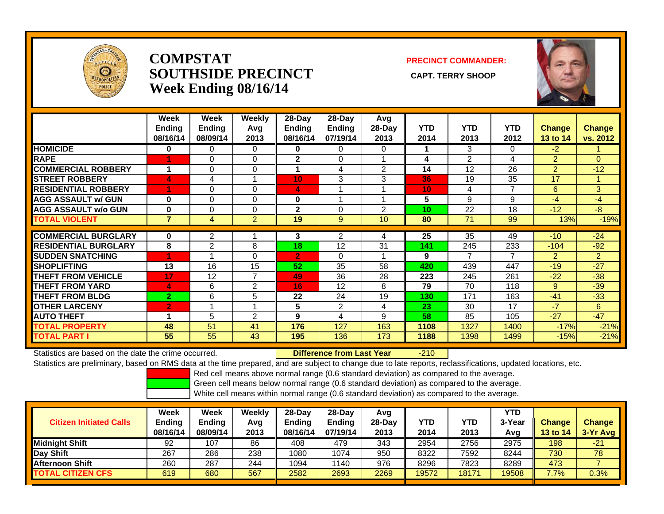

## **COMPSTATSOUTHSIDE PRECINCT** CAPT. TERRY SHOOP **Week Ending 08/16/14**

### **PRECINCT COMMANDER:**



|                             | Week<br><b>Ending</b><br>08/16/14 | Week<br><b>Ending</b><br>08/09/14 | Weekly<br>Avg<br>2013 | 28-Day<br><b>Ending</b><br>08/16/14 | 28-Day<br><b>Ending</b><br>07/19/14 | Avg<br>$28-Day$<br>2013 | <b>YTD</b><br>2014 | <b>YTD</b><br>2013 | <b>YTD</b><br>2012 | <b>Change</b><br>13 to 14 | <b>Change</b><br>vs. 2012 |
|-----------------------------|-----------------------------------|-----------------------------------|-----------------------|-------------------------------------|-------------------------------------|-------------------------|--------------------|--------------------|--------------------|---------------------------|---------------------------|
| <b>HOMICIDE</b>             | $\bf{0}$                          | $\mathbf{0}$                      | 0                     | $\bf{0}$                            | 0                                   | $\Omega$                |                    | 3                  | 0                  | $-2$                      |                           |
| <b>RAPE</b>                 |                                   | $\Omega$                          | 0                     | $\overline{\mathbf{2}}$             | $\Omega$                            |                         | 4                  | $\overline{2}$     | 4                  | $\overline{2}$            | $\Omega$                  |
| <b>COMMERCIAL ROBBERY</b>   | 1                                 | 0                                 | 0                     |                                     | 4                                   | $\overline{2}$          | 14                 | 12                 | 26                 | 2                         | $-12$                     |
| <b>STREET ROBBERY</b>       | 4                                 | 4                                 |                       | 10                                  | 3                                   | 3                       | 36                 | 19                 | 35                 | 17                        |                           |
| <b>RESIDENTIAL ROBBERY</b>  |                                   | $\Omega$                          | $\Omega$              | 4                                   |                                     |                         | 10                 | 4                  | 7                  | 6                         | 3                         |
| <b>AGG ASSAULT w/ GUN</b>   | $\bf{0}$                          | $\Omega$                          | 0                     | $\bf{0}$                            | и                                   |                         | 5                  | 9                  | 9                  | $-4$                      | -4                        |
| <b>AGG ASSAULT w/o GUN</b>  | $\bf{0}$                          | $\Omega$                          | $\Omega$              | $\mathbf 2$                         | 0                                   | 2                       | 10                 | 22                 | 18                 | $-12$                     | $-8$                      |
| <b>TOTAL VIOLENT</b>        | $\overline{7}$                    | 4                                 | $\overline{2}$        | 19                                  | 9                                   | 10                      | 80                 | 71                 | 99                 | 13%                       | $-19%$                    |
|                             |                                   |                                   |                       |                                     |                                     |                         |                    |                    |                    |                           |                           |
| <b>COMMERCIAL BURGLARY</b>  | $\bf{0}$                          | $\overline{2}$                    |                       | 3                                   | $\overline{2}$                      | 4                       | 25                 | 35                 | 49                 | $-10^{-}$                 | $-24$                     |
| <b>RESIDENTIAL BURGLARY</b> | 8                                 | $\overline{2}$                    | 8                     | 18                                  | 12                                  | 31                      | 141                | 245                | 233                | $-104$                    | $-92$                     |
| <b>SUDDEN SNATCHING</b>     | и                                 |                                   | 0                     | $\overline{2}$                      | 0                                   |                         | 9                  | 7                  | $\overline{7}$     | 2                         | $\overline{2}$            |
| <b>SHOPLIFTING</b>          | 13                                | 16                                | 15                    | 52                                  | 35                                  | 58                      | 420                | 439                | 447                | $-19$                     | $-27$                     |
| <b>THEFT FROM VEHICLE</b>   | 17                                | 12                                | $\overline{7}$        | 49                                  | 36                                  | 28                      | 223                | 245                | 261                | $-22$                     | $-38$                     |
| <b>THEFT FROM YARD</b>      | 4                                 | 6                                 | 2                     | 16                                  | 12                                  | 8                       | 79                 | 70                 | 118                | 9                         | $-39$                     |
| <b>THEFT FROM BLDG</b>      | $\overline{2}$                    | 6                                 | 5                     | 22                                  | 24                                  | 19                      | 130                | 171                | 163                | $-41$                     | $-33$                     |
| <b>OTHER LARCENY</b>        | $\overline{2}$                    |                                   |                       | 5                                   | $\overline{2}$                      | 4                       | 23                 | 30                 | 17                 | $-7$                      | 6                         |
| <b>AUTO THEFT</b>           | 1                                 | 5                                 | $\overline{2}$        | 9                                   | 4                                   | 9                       | 58                 | 85                 | 105                | $-27$                     | $-47$                     |
| <b>TOTAL PROPERTY</b>       | 48                                | 51                                | 41                    | 176                                 | 127                                 | 163                     | 1108               | 1327               | 1400               | $-17%$                    | $-21%$                    |
| <b>TOTAL PART I</b>         | 55                                | 55                                | 43                    | 195                                 | 136                                 | 173                     | 1188               | 1398               | 1499               | $-15%$                    | $-21%$                    |

Statistics are based on the date the crime occurred. **Difference from Last Year** 

-210

Statistics are preliminary, based on RMS data at the time prepared, and are subject to change due to late reports, reclassifications, updated locations, etc.

Red cell means above normal range (0.6 standard deviation) as compared to the average.

Green cell means below normal range (0.6 standard deviation) as compared to the average.

| <b>Citizen Initiated Calls</b> | Week<br><b>Ending</b><br>08/16/14 | <b>Week</b><br><b>Ending</b><br>08/09/14 | Weekly<br>Avg<br>2013 | $28-Dav$<br><b>Ending</b><br>08/16/14 | $28-Day$<br><b>Ending</b><br>07/19/14 | Avg<br>$28-Day$<br>2013 | YTD<br>2014 | YTD<br>2013 | YTD<br>3-Year<br>Avg | <b>Change</b><br><b>13 to 14</b> | <b>Change</b><br>3-Yr Avg |
|--------------------------------|-----------------------------------|------------------------------------------|-----------------------|---------------------------------------|---------------------------------------|-------------------------|-------------|-------------|----------------------|----------------------------------|---------------------------|
| <b>Midnight Shift</b>          | 92                                | 107                                      | 86                    | 408                                   | 479                                   | 343                     | 2954        | 2756        | 2975                 | 198                              | $-21$                     |
| Day Shift                      | 267                               | 286                                      | 238                   | 1080                                  | 1074                                  | 950                     | 8322        | 7592        | 8244                 | 730                              | 78                        |
| <b>Afternoon Shift</b>         | 260                               | 287                                      | 244                   | 1094                                  | 1140                                  | 976                     | 8296        | 7823        | 8289                 | 473                              |                           |
| <b>TOTAL CITIZEN CFS</b>       | 619                               | 680                                      | 567                   | 2582                                  | 2693                                  | 2269                    | 19572       | 18171       | 19508                | 7.7%                             | 0.3%                      |